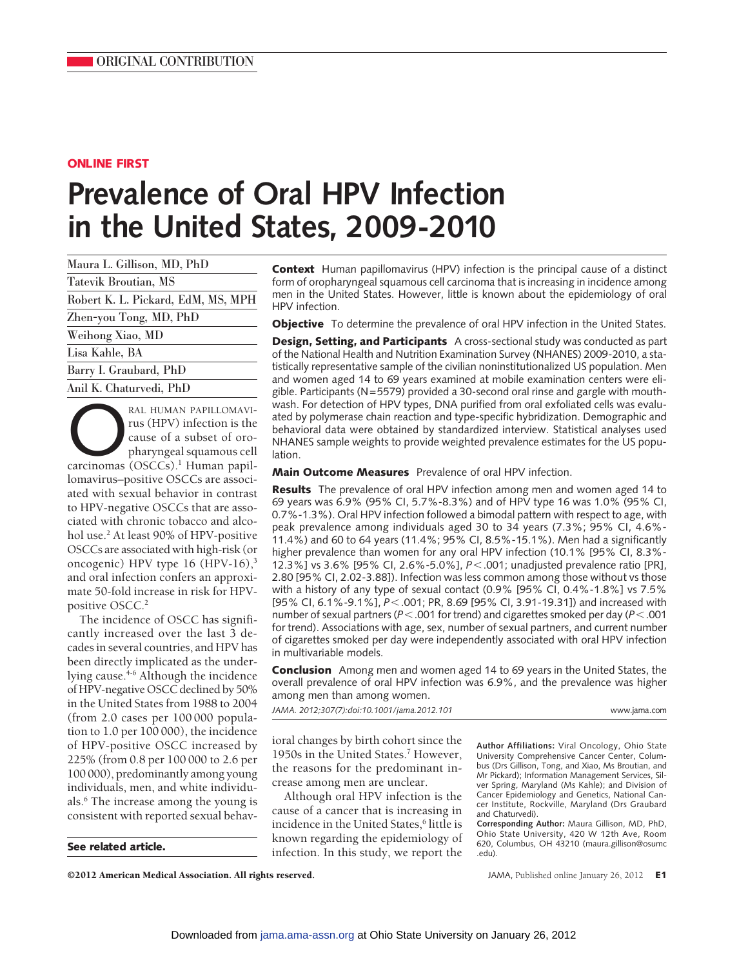# **ONLINE FIRST**

# **Prevalence of Oral HPV Infection in the United States, 2009-2010**

| Maura L. Gillison, MD, PhD         |
|------------------------------------|
| Tatevik Broutian, MS               |
| Robert K. L. Pickard, EdM, MS, MPH |
| Zhen-you Tong, MD, PhD             |
| Weihong Xiao, MD                   |
| Lisa Kahle, BA                     |
| Barry I. Graubard, PhD             |
| Anil K. Chaturvedi, PhD            |

RAL HUMAN PAPILLOMAVI-<br>
rus (HPV) infection is the<br>
cause of a subset of oro-<br>
pharyngeal squamous cell<br>
carcinomas (OSCCs).<sup>1</sup> Human papilrus (HPV) infection is the cause of a subset of oropharyngeal squamous cell lomavirus–positive OSCCs are associated with sexual behavior in contrast to HPV-negative OSCCs that are associated with chronic tobacco and alcohol use.2 At least 90% of HPV-positive OSCCs are associated with high-risk (or oncogenic) HPV type  $16$  (HPV- $16$ ),<sup>3</sup> and oral infection confers an approximate 50-fold increase in risk for HPVpositive OSCC.<sup>2</sup>

The incidence of OSCC has significantly increased over the last 3 decades in several countries, and HPV has been directly implicated as the underlying cause.<sup>4-6</sup> Although the incidence of HPV-negative OSCC declined by 50% in the United States from 1988 to 2004 (from 2.0 cases per 100 000 population to 1.0 per 100 000), the incidence of HPV-positive OSCC increased by 225% (from 0.8 per 100 000 to 2.6 per 100 000), predominantly among young individuals, men, and white individuals.6 The increase among the young is consistent with reported sexual behav-

**Context** Human papillomavirus (HPV) infection is the principal cause of a distinct form of oropharyngeal squamous cell carcinoma that is increasing in incidence among men in the United States. However, little is known about the epidemiology of oral HPV infection.

**Objective** To determine the prevalence of oral HPV infection in the United States.

**Design, Setting, and Participants** A cross-sectional study was conducted as part of the National Health and Nutrition Examination Survey (NHANES) 2009-2010, a statistically representative sample of the civilian noninstitutionalized US population. Men and women aged 14 to 69 years examined at mobile examination centers were eligible. Participants (N=5579) provided a 30-second oral rinse and gargle with mouthwash. For detection of HPV types, DNA purified from oral exfoliated cells was evaluated by polymerase chain reaction and type-specific hybridization. Demographic and behavioral data were obtained by standardized interview. Statistical analyses used NHANES sample weights to provide weighted prevalence estimates for the US population.

**Main Outcome Measures** Prevalence of oral HPV infection.

**Results** The prevalence of oral HPV infection among men and women aged 14 to 69 years was 6.9% (95% CI, 5.7%-8.3%) and of HPV type 16 was 1.0% (95% CI, 0.7%-1.3%). Oral HPV infection followed a bimodal pattern with respect to age, with peak prevalence among individuals aged 30 to 34 years (7.3%; 95% CI, 4.6%- 11.4%) and 60 to 64 years (11.4%; 95% CI, 8.5%-15.1%). Men had a significantly higher prevalence than women for any oral HPV infection (10.1% [95% CI, 8.3%- 12.3%] vs 3.6% [95% CI, 2.6%-5.0%],  $P < .001$ ; unadjusted prevalence ratio [PR], 2.80 [95% CI, 2.02-3.88]). Infection was less common among those without vs those with a history of any type of sexual contact (0.9% [95% CI, 0.4%-1.8%] vs 7.5% [95% CI, 6.1%-9.1%], *P*-.001; PR, 8.69 [95% CI, 3.91-19.31]) and increased with number of sexual partners (P < .001 for trend) and cigarettes smoked per day (P < .001 for trend). Associations with age, sex, number of sexual partners, and current number of cigarettes smoked per day were independently associated with oral HPV infection in multivariable models.

**Conclusion** Among men and women aged 14 to 69 years in the United States, the overall prevalence of oral HPV infection was 6.9%, and the prevalence was higher among men than among women.

*JAMA. 2012;307(7):doi:10.1001/jama.2012.101* www.jama.com

ioral changes by birth cohort since the 1950s in the United States.<sup>7</sup> However, the reasons for the predominant increase among men are unclear.

Although oral HPV infection is the cause of a cancer that is increasing in incidence in the United States,<sup>6</sup> little is known regarding the epidemiology of **See related article.** The study infection. In this study, we report the

**Author Affiliations:** Viral Oncology, Ohio State University Comprehensive Cancer Center, Columbus (Drs Gillison, Tong, and Xiao, Ms Broutian, and Mr Pickard); Information Management Services, Silver Spring, Maryland (Ms Kahle); and Division of Cancer Epidemiology and Genetics, National Cancer Institute, Rockville, Maryland (Drs Graubard and Chaturvedi).

**Corresponding Author:** Maura Gillison, MD, PhD, Ohio State University, 420 W 12th Ave, Room 620, Columbus, OH 43210 (maura.gillison@osumc .edu).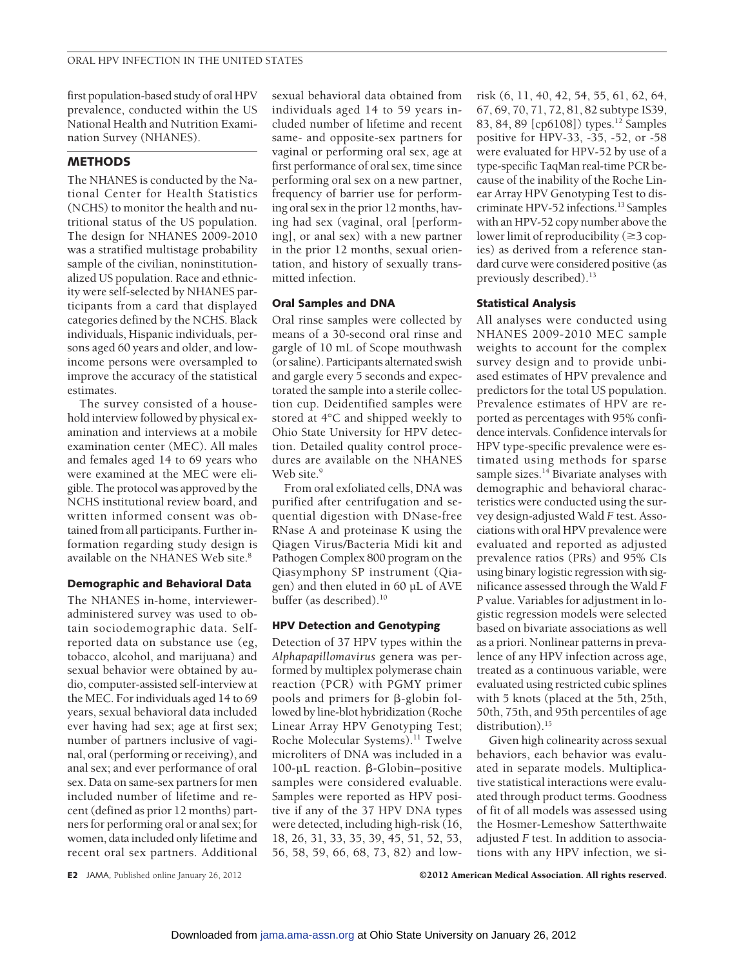first population-based study of oral HPV prevalence, conducted within the US National Health and Nutrition Examination Survey (NHANES).

# **METHODS**

The NHANES is conducted by the National Center for Health Statistics (NCHS) to monitor the health and nutritional status of the US population. The design for NHANES 2009-2010 was a stratified multistage probability sample of the civilian, noninstitutionalized US population. Race and ethnicity were self-selected by NHANES participants from a card that displayed categories defined by the NCHS. Black individuals, Hispanic individuals, persons aged 60 years and older, and lowincome persons were oversampled to improve the accuracy of the statistical estimates.

The survey consisted of a household interview followed by physical examination and interviews at a mobile examination center (MEC). All males and females aged 14 to 69 years who were examined at the MEC were eligible. The protocol was approved by the NCHS institutional review board, and written informed consent was obtained from all participants. Further information regarding study design is available on the NHANES Web site.<sup>8</sup>

# **Demographic and Behavioral Data**

The NHANES in-home, intervieweradministered survey was used to obtain sociodemographic data. Selfreported data on substance use (eg, tobacco, alcohol, and marijuana) and sexual behavior were obtained by audio, computer-assisted self-interview at the MEC. For individuals aged 14 to 69 years, sexual behavioral data included ever having had sex; age at first sex; number of partners inclusive of vaginal, oral (performing or receiving), and anal sex; and ever performance of oral sex. Data on same-sex partners for men included number of lifetime and recent (defined as prior 12 months) partners for performing oral or anal sex; for women, data included only lifetime and recent oral sex partners. Additional

sexual behavioral data obtained from individuals aged 14 to 59 years included number of lifetime and recent same- and opposite-sex partners for vaginal or performing oral sex, age at first performance of oral sex, time since performing oral sex on a new partner, frequency of barrier use for performing oral sex in the prior 12 months, having had sex (vaginal, oral [performing], or anal sex) with a new partner in the prior 12 months, sexual orientation, and history of sexually transmitted infection.

# **Oral Samples and DNA**

Oral rinse samples were collected by means of a 30-second oral rinse and gargle of 10 mL of Scope mouthwash (or saline). Participants alternated swish and gargle every 5 seconds and expectorated the sample into a sterile collection cup. Deidentified samples were stored at 4°C and shipped weekly to Ohio State University for HPV detection. Detailed quality control procedures are available on the NHANES Web site.<sup>9</sup>

From oral exfoliated cells, DNA was purified after centrifugation and sequential digestion with DNase-free RNase A and proteinase K using the Qiagen Virus/Bacteria Midi kit and Pathogen Complex 800 program on the Qiasymphony SP instrument (Qiagen) and then eluted in 60 µL of AVE buffer (as described).<sup>10</sup>

# **HPV Detection and Genotyping**

Detection of 37 HPV types within the *Alphapapillomavirus* genera was performed by multiplex polymerase chain reaction (PCR) with PGMY primer pools and primers for  $\beta$ -globin followed by line-blot hybridization (Roche Linear Array HPV Genotyping Test; Roche Molecular Systems).11 Twelve microliters of DNA was included in a  $100$ -µL reaction.  $\beta$ -Globin–positive samples were considered evaluable. Samples were reported as HPV positive if any of the 37 HPV DNA types were detected, including high-risk (16, 18, 26, 31, 33, 35, 39, 45, 51, 52, 53, 56, 58, 59, 66, 68, 73, 82) and lowrisk (6, 11, 40, 42, 54, 55, 61, 62, 64, 67, 69, 70, 71, 72, 81, 82 subtype IS39, 83, 84, 89 [cp6108]) types.<sup>12</sup> Samples positive for HPV-33, -35, -52, or -58 were evaluated for HPV-52 by use of a type-specific TaqMan real-time PCR because of the inability of the Roche Linear Array HPV Genotyping Test to discriminate HPV-52 infections.13 Samples with an HPV-52 copy number above the lower limit of reproducibility ( $\geq$ 3 copies) as derived from a reference standard curve were considered positive (as previously described).<sup>13</sup>

# **Statistical Analysis**

All analyses were conducted using NHANES 2009-2010 MEC sample weights to account for the complex survey design and to provide unbiased estimates of HPV prevalence and predictors for the total US population. Prevalence estimates of HPV are reported as percentages with 95% confidence intervals. Confidence intervals for HPV type-specific prevalence were estimated using methods for sparse sample sizes.<sup>14</sup> Bivariate analyses with demographic and behavioral characteristics were conducted using the survey design-adjusted Wald *F* test. Associations with oral HPV prevalence were evaluated and reported as adjusted prevalence ratios (PRs) and 95% CIs using binary logistic regression with significance assessed through the Wald *F P* value. Variables for adjustment in logistic regression models were selected based on bivariate associations as well as a priori. Nonlinear patterns in prevalence of any HPV infection across age, treated as a continuous variable, were evaluated using restricted cubic splines with 5 knots (placed at the 5th, 25th, 50th, 75th, and 95th percentiles of age distribution).<sup>15</sup>

Given high colinearity across sexual behaviors, each behavior was evaluated in separate models. Multiplicative statistical interactions were evaluated through product terms. Goodness of fit of all models was assessed using the Hosmer-Lemeshow Satterthwaite adjusted *F* test. In addition to associations with any HPV infection, we si-

**E2** JAMA, Published online January 26, 2012 **C2012 American Medical Association. All rights reserved.**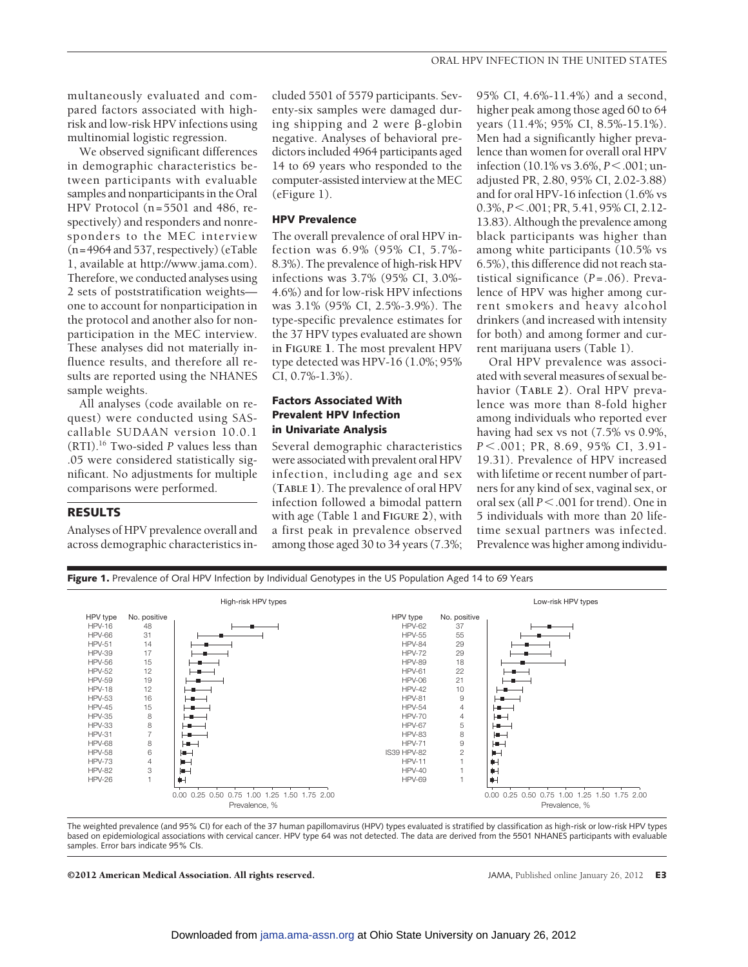We observed significant differences in demographic characteristics between participants with evaluable samples and nonparticipants in the Oral HPV Protocol (n=5501 and 486, respectively) and responders and nonresponders to the MEC interview (n=4964 and 537, respectively) (eTable 1, available at http://www.jama.com). Therefore, we conducted analyses using 2 sets of poststratification weights one to account for nonparticipation in the protocol and another also for nonparticipation in the MEC interview. These analyses did not materially influence results, and therefore all results are reported using the NHANES sample weights.

All analyses (code available on request) were conducted using SAScallable SUDAAN version 10.0.1 (RTI).16 Two-sided *P* values less than .05 were considered statistically significant. No adjustments for multiple comparisons were performed.

# **RESULTS**

Analyses of HPV prevalence overall and across demographic characteristics included 5501 of 5579 participants. Seventy-six samples were damaged during shipping and 2 were  $\beta$ -globin negative. Analyses of behavioral predictors included 4964 participants aged 14 to 69 years who responded to the computer-assisted interview at the MEC (eFigure 1).

# **HPV Prevalence**

The overall prevalence of oral HPV infection was 6.9% (95% CI, 5.7%- 8.3%). The prevalence of high-risk HPV infections was 3.7% (95% CI, 3.0%- 4.6%) and for low-risk HPV infections was 3.1% (95% CI, 2.5%-3.9%). The type-specific prevalence estimates for the 37 HPV types evaluated are shown in **FIGURE 1**. The most prevalent HPV type detected was HPV-16 (1.0%; 95% CI, 0.7%-1.3%).

# **Factors Associated With Prevalent HPV Infection in Univariate Analysis**

Several demographic characteristics were associated with prevalent oral HPV infection, including age and sex (**TABLE 1**). The prevalence of oral HPV infection followed a bimodal pattern with age (Table 1 and **FIGURE 2**), with a first peak in prevalence observed among those aged 30 to 34 years (7.3%;

95% CI, 4.6%-11.4%) and a second, higher peak among those aged 60 to 64 years (11.4%; 95% CI, 8.5%-15.1%). Men had a significantly higher prevalence than women for overall oral HPV infection (10.1% vs 3.6%, *P*-.001; unadjusted PR, 2.80, 95% CI, 2.02-3.88) and for oral HPV-16 infection (1.6% vs 0.3%, *P* < .001; PR, 5.41, 95% CI, 2.12-13.83). Although the prevalence among black participants was higher than among white participants (10.5% vs 6.5%), this difference did not reach statistical significance (*P*=.06). Prevalence of HPV was higher among current smokers and heavy alcohol drinkers (and increased with intensity for both) and among former and current marijuana users (Table 1).

Oral HPV prevalence was associated with several measures of sexual behavior (**TABLE 2**). Oral HPV prevalence was more than 8-fold higher among individuals who reported ever having had sex vs not (7.5% vs 0.9%, *P* - .001; PR, 8.69, 95% CI, 3.91- 19.31). Prevalence of HPV increased with lifetime or recent number of partners for any kind of sex, vaginal sex, or oral sex (all  $P < .001$  for trend). One in 5 individuals with more than 20 lifetime sexual partners was infected. Prevalence was higher among individu-



Figure 1. Prevalence of Oral HPV Infection by Individual Genotypes in the US Population Aged 14 to 69 Years High-risk HPV types Low-risk HPV types HPV type HPV type No. positive No. positive HPV-16 HPV-62 37 48 HPV-66 31 HPV-55 55 HPV-51 14 HPV-84 29 HPV-39 17 **HPV-72**  $29$ HPV-56 15 HPV-89 18 HPV-52 12 HPV-61 22 HPV-59 19 HPV-06 21 HPV-18 12 HPV-42 10 9 HPV-53 HPV-45 16 15 HPV-81 HPV-54 4 HPV-35 8 HPV-70 4 8 5 HPV-33 HPV-67 HPV-31 7 HPV-83 8 HPV-68 8  $H \rightarrow$ HPV-71 9 ia. HPV-58 6  $H$ IS39 HPV-82  $\overline{2}$  $\blacksquare$ HPV-73 4  $\blacksquare$ HPV-11 1  $\blacksquare$ HPV-82 3  $\overline{a}$ HPV-40 Ĥ 1 HPV-26 ψH HPV-69 Ŵ 1 1 0.00 0.25 0.50 0.75 1.00 1.25 1.50 1.75 2.00 0.00 0.25 0.50 0.75 1.00 1.25 1.50 1.75 2.00 Prevalence, % Prevalence, %

The weighted prevalence (and 95% CI) for each of the 37 human papillomavirus (HPV) types evaluated is stratified by classification as high-risk or low-risk HPV types based on epidemiological associations with cervical cancer. HPV type 64 was not detected. The data are derived from the 5501 NHANES participants with evaluable samples. Error bars indicate 95% CIs.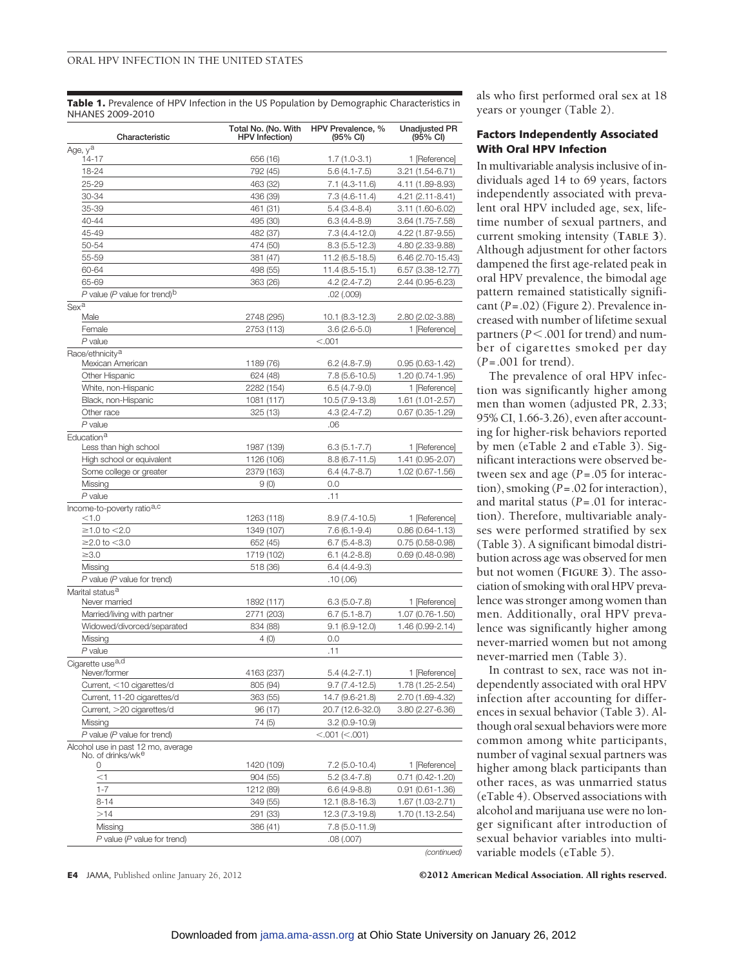**Table 1.** Prevalence of HPV Infection in the US Population by Demographic Characteristics in NHANES 2009-2010

| Characteristic                                          | Total No. (No. With<br><b>HPV</b> Infection)   | HPV Prevalence, %<br>$(95% \text{ Cl})$ | <b>Unadjusted PR</b><br>(95% CI) |
|---------------------------------------------------------|------------------------------------------------|-----------------------------------------|----------------------------------|
| Age, y <sup>a</sup>                                     |                                                |                                         | 1 [Reference]                    |
| 14-17<br>18-24                                          | 792 (45)                                       | 656 (16)<br>$1.7(1.0-3.1)$              |                                  |
| 25-29                                                   | 463 (32)                                       | $5.6(4.1 - 7.5)$<br>$7.1(4.3-11.6)$     | 3.21 (1.54-6.71)                 |
| 30-34                                                   | 436 (39)                                       | $7.3(4.6-11.4)$                         | 4.11 (1.89-8.93)                 |
| 35-39                                                   | 461 (31)                                       | $5.4(3.4 - 8.4)$                        | 4.21 (2.11-8.41)                 |
| 40-44                                                   |                                                |                                         | 3.11 (1.60-6.02)                 |
| 45-49                                                   | 495 (30)                                       | $6.3(4.4 - 8.9)$                        | 3.64 (1.75-7.58)                 |
| 50-54                                                   | 482 (37)                                       | $7.3(4.4-12.0)$                         | 4.22 (1.87-9.55)                 |
| 55-59                                                   | 474 (50)                                       | $8.3(5.5-12.3)$                         | 4.80 (2.33-9.88)                 |
| 60-64                                                   | 381 (47)<br>498 (55)                           | 11.2 (6.5-18.5)<br>11.4 (8.5-15.1)      | 6.46 (2.70-15.43)                |
| 65-69                                                   |                                                |                                         | $6.57(3.38-12.77)$               |
| P value (P value for trend) <sup>b</sup>                | 363 (26)<br>$4.2(2.4-7.2)$<br>2.44 (0.95-6.23) |                                         |                                  |
| Sex <sup>a</sup>                                        |                                                | $.02$ $(.009)$                          |                                  |
| Male                                                    | 2748 (295)                                     | 10.1 (8.3-12.3)                         | 2.80 (2.02-3.88)                 |
| Female                                                  | 2753 (113)                                     | $3.6(2.6-5.0)$                          | 1 [Reference]                    |
| P value                                                 |                                                | < 0.001                                 |                                  |
| Race/ethnicity <sup>a</sup>                             |                                                |                                         |                                  |
| Mexican American                                        | 1189 (76)                                      | $6.2(4.8-7.9)$                          | $0.95(0.63 - 1.42)$              |
| <b>Other Hispanic</b>                                   | 624 (48)                                       | $7.8$ (5.6-10.5)                        | 1.20 (0.74-1.95)                 |
| White, non-Hispanic                                     | 2282 (154)                                     | $6.5(4.7-9.0)$                          | 1 [Reference]                    |
| Black, non-Hispanic                                     | 1081 (117)                                     | 10.5 (7.9-13.8)                         | 1.61 (1.01-2.57)                 |
| Other race                                              | 325(13)                                        | $4.3(2.4 - 7.2)$                        | $0.67$ (0.35-1.29)               |
| $P$ value                                               |                                                | .06                                     |                                  |
| Education <sup>a</sup>                                  |                                                |                                         |                                  |
| Less than high school                                   | 1987 (139)                                     | $6.3(5.1 - 7.7)$                        | 1 [Reference]                    |
| High school or equivalent                               | 1126 (106)                                     | $8.8(6.7 - 11.5)$                       | 1.41 (0.95-2.07)                 |
| Some college or greater                                 | 2379 (163)                                     | $6.4(4.7 - 8.7)$                        | 1.02 (0.67-1.56)                 |
| Missing<br>$P$ value                                    | 9(0)                                           | 0.0                                     |                                  |
| Income-to-poverty ratio <sup>a,c</sup>                  |                                                | .11                                     |                                  |
| < 1.0                                                   | 1263 (118)                                     | $8.9(7.4-10.5)$                         | 1 [Reference]                    |
| $\geq$ 1.0 to $<$ 2.0                                   | 1349 (107)                                     | $7.6(6.1-9.4)$                          | $0.86(0.64 - 1.13)$              |
| $≥2.0$ to $<$ 3.0                                       | 652 (45)                                       | $6.7(5.4-8.3)$                          | $0.75(0.58-0.98)$                |
| $\geq 3.0$                                              | 1719 (102)                                     | $6.1(4.2-8.8)$                          | $0.69(0.48 - 0.98)$              |
| Missing                                                 | 518 (36)                                       | $6.4(4.4-9.3)$                          |                                  |
| $P$ value ( $P$ value for trend)                        |                                                | .10(0.06)                               |                                  |
| Marital status <sup>a</sup>                             |                                                |                                         |                                  |
| Never married                                           | 1892 (117)                                     | $6.3(5.0-7.8)$                          | 1 [Reference]                    |
| Married/living with partner                             | 2771 (203)                                     | $6.7(5.1 - 8.7)$                        | 1.07 (0.76-1.50)                 |
| Widowed/divorced/separated                              | 834 (88)                                       | $9.1(6.9-12.0)$                         | 1.46 (0.99-2.14)                 |
| Missing                                                 | 4(0)                                           | 0.0                                     |                                  |
| $P$ value                                               |                                                | .11                                     |                                  |
| Cigarette use <sup>a,d</sup>                            |                                                |                                         |                                  |
| Never/tormer                                            | 4163 (237)                                     | $5.4(4.2 - 7.1)$                        | 1 [Reference]                    |
| Current, <10 cigarettes/d                               | 805 (94)                                       | $9.7(7.4-12.5)$                         | 1.78 (1.25-2.54)                 |
| Current, 11-20 cigarettes/d                             | 363 (55)                                       | 14.7 (9.6-21.8)                         | 2.70 (1.69-4.32)                 |
| Current, >20 cigarettes/d                               | 96 (17)                                        | 20.7 (12.6-32.0)                        | 3.80 (2.27-6.36)                 |
| Missing                                                 | 74 (5)                                         | $3.2(0.9-10.9)$                         |                                  |
| $P$ value ( $P$ value for trend)                        |                                                | < .001 (< .001)                         |                                  |
| Alcohol use in past 12 mo, average<br>No. of drinks/wke |                                                |                                         |                                  |
| 0                                                       | 1420 (109)                                     | $7.2$ (5.0-10.4)                        | 1 [Reference]                    |
| $<$ 1                                                   | 904 (55)                                       | $5.2(3.4-7.8)$                          | $0.71(0.42 - 1.20)$              |
| $1 - 7$                                                 | 1212 (89)                                      | $6.6(4.9-8.8)$                          | $0.91(0.61 - 1.36)$              |
| $8 - 14$                                                | 349 (55)                                       | 12.1 (8.8-16.3)                         | 1.67 (1.03-2.71)                 |
| >14                                                     | 291 (33)                                       | 12.3 (7.3-19.8)                         | 1.70 (1.13-2.54)                 |
| Missing                                                 | 386 (41)                                       | 7.8 (5.0-11.9)                          |                                  |
| $P$ value ( $P$ value for trend)                        |                                                | .08(.007)                               |                                  |

als who first performed oral sex at 18 years or younger (Table 2).

# **Factors Independently Associated With Oral HPV Infection**

In multivariable analysis inclusive of individuals aged 14 to 69 years, factors independently associated with prevalent oral HPV included age, sex, lifetime number of sexual partners, and current smoking intensity (**TABLE 3**). Although adjustment for other factors dampened the first age-related peak in oral HPV prevalence, the bimodal age pattern remained statistically significant (*P*=.02) (Figure 2). Prevalence increased with number of lifetime sexual partners (*P*-.001 for trend) and number of cigarettes smoked per day (*P*=.001 for trend).

The prevalence of oral HPV infection was significantly higher among men than women (adjusted PR, 2.33; 95% CI, 1.66-3.26), even after accounting for higher-risk behaviors reported by men (eTable 2 and eTable 3). Significant interactions were observed between sex and age (*P*=.05 for interaction), smoking (*P*=.02 for interaction), and marital status (*P*=.01 for interaction). Therefore, multivariable analyses were performed stratified by sex (Table 3). A significant bimodal distribution across age was observed for men but not women (**FIGURE 3**). The association of smoking with oral HPV prevalence was stronger among women than men. Additionally, oral HPV prevalence was significantly higher among never-married women but not among never-married men (Table 3).

In contrast to sex, race was not independently associated with oral HPV infection after accounting for differences in sexual behavior (Table 3). Although oral sexual behaviors were more common among white participants, number of vaginal sexual partners was higher among black participants than other races, as was unmarried status (eTable 4). Observed associations with alcohol and marijuana use were no longer significant after introduction of sexual behavior variables into multivariable models (eTable 5).

**E4** JAMA, Published online January 26, 2012 **COM COM COM COM COM COM COM COM COM COM COM COM COM COM COM COM COM COM COM COM COM COM COM COM COM COM COM COM COM CO** 

*(continued)*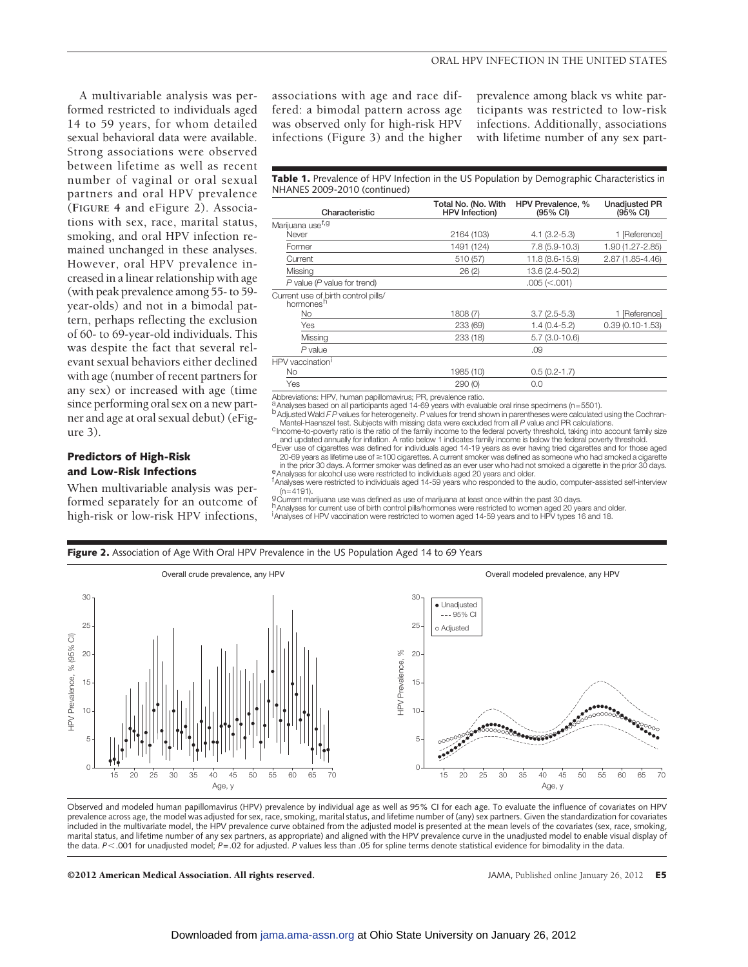A multivariable analysis was performed restricted to individuals aged 14 to 59 years, for whom detailed sexual behavioral data were available. Strong associations were observed between lifetime as well as recent number of vaginal or oral sexual partners and oral HPV prevalence (**FIGURE 4** and eFigure 2). Associations with sex, race, marital status, smoking, and oral HPV infection remained unchanged in these analyses. However, oral HPV prevalence increased in a linear relationship with age (with peak prevalence among 55- to 59 year-olds) and not in a bimodal pattern, perhaps reflecting the exclusion of 60- to 69-year-old individuals. This was despite the fact that several relevant sexual behaviors either declined with age (number of recent partners for any sex) or increased with age (time since performing oral sex on a new partner and age at oral sexual debut) (eFigure 3).

# **Predictors of High-Risk and Low-Risk Infections**

When multivariable analysis was performed separately for an outcome of high-risk or low-risk HPV infections,

i

associations with age and race differed: a bimodal pattern across age was observed only for high-risk HPV infections (Figure 3) and the higher prevalence among black vs white participants was restricted to low-risk infections. Additionally, associations with lifetime number of any sex part-

### Table 1. Prevalence of HPV Infection in the US Population by Demographic Characteristics in NHANES 2009-2010 (continued)

| Characteristic                                               | Total No. (No. With<br><b>HPV</b> Infection) | HPV Prevalence, %<br>(95% CI) | <b>Unadjusted PR</b><br>$(95% \text{ CI})$ |  |
|--------------------------------------------------------------|----------------------------------------------|-------------------------------|--------------------------------------------|--|
| Marijuana use <sup>t,g</sup>                                 |                                              |                               |                                            |  |
| Never                                                        | 2164 (103)                                   | $4.1(3.2 - 5.3)$              | 1 [Reference]                              |  |
| Former                                                       | 1491 (124)                                   | $7.8(5.9-10.3)$               |                                            |  |
| Current                                                      | 11.8 (8.6-15.9)<br>510 (57)                  |                               | 2.87 (1.85-4.46)                           |  |
| Missing                                                      | 13.6 (2.4-50.2)<br>26(2)                     |                               |                                            |  |
| $P$ value ( $P$ value for trend)                             |                                              | $.005 \, (< .001)$            |                                            |  |
| Current use of birth control pills/<br>hormones <sup>h</sup> |                                              |                               |                                            |  |
| No                                                           | 1808 (7)                                     | $3.7(2.5-5.3)$                | 1 [Reference]                              |  |
| Yes                                                          | 233 (69)                                     | $1.4(0.4-5.2)$                | $0.39(0.10-1.53)$                          |  |
| Missing                                                      | 233(18)                                      | $5.7(3.0-10.6)$               |                                            |  |
| $P$ value                                                    |                                              | .09                           |                                            |  |
| HPV vaccination <sup>1</sup>                                 |                                              |                               |                                            |  |
| No                                                           | 1985 (10)                                    | $0.5(0.2-1.7)$                |                                            |  |
| Yes                                                          | 290(0)                                       | 0.0                           |                                            |  |

Abbreviations: HPV, human papillomavirus; PR, prevalence ratio.

 $a$ Analyses based on all participants aged 14-69 years with evaluable oral rinse specimens (n=5501).

bAdjusted Wald *F P* values for heterogeneity. *P* values for trend shown in parentheses were calculated using the Cochran-<br>Mantel-Haenszel test. Subjects with missing data were excluded from all *P* value and PR calculati

c income-to-poverty ratio is the ratio of the family income to the federal poverty threshold, taking into account family size<br>and updated annually for inflation. A ratio below 1 indicates family income is below the federal d Ever use of cigarettes was defined for individuals aged 14-19 years as ever having tried cigarettes and for those aged

20-69 years as lifetime use of ≥100 cigarettes. A current smoker was defined as someone who had smoked a cigarette in the prior 30 days.<br>in the prior 30 days. A former smoker was defined as an ever user who had not smoked

f Analyses were restricted to individuals aged 14-59 years who responded to the audio, computer-assisted self-interview (n=4191). gCurrent marijuana use was defined as use of marijuana at least once within the past 30 days.

h<br>Analyses for current use of birth control pills/hormones were restricted to women aged 20 years and older.<br>|Analyses of HPV vaccination were restricted to women aged 14-59 years and to HPV types 16 and 18.



Observed and modeled human papillomavirus (HPV) prevalence by individual age as well as 95% CI for each age. To evaluate the influence of covariates on HPV prevalence across age, the model was adjusted for sex, race, smoking, marital status, and lifetime number of (any) sex partners. Given the standardization for covariates included in the multivariate model, the HPV prevalence curve obtained from the adjusted model is presented at the mean levels of the covariates (sex, race, smoking, marital status, and lifetime number of any sex partners, as appropriate) and aligned with the HPV prevalence curve in the unadjusted model to enable visual display of the data. *P*< .001 for unadjusted model; *P*=.02 for adjusted. *P* values less than .05 for spline terms denote statistical evidence for bimodality in the data.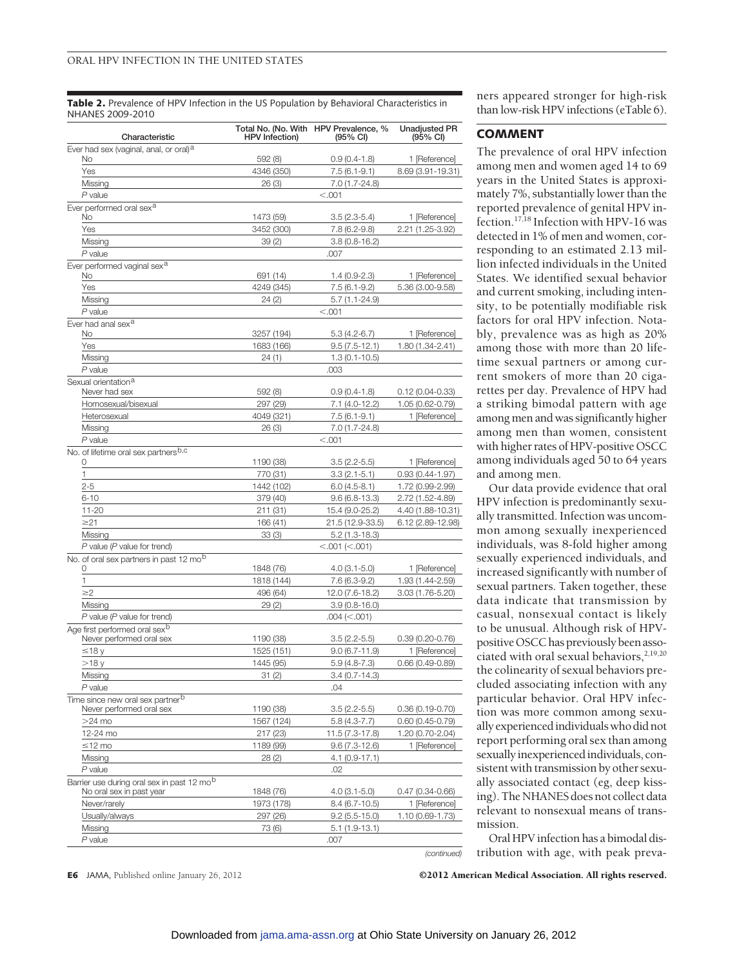Table 2. Prevalence of HPV Infection in the US Population by Behavioral Characteristics in NHANES 2009-2010

| Characteristic                                           | <b>HPV</b> Infection)  | Total No. (No. With HPV Prevalence, %<br>$(95% \text{ Cl})$ | <b>Unadjusted PR</b><br>$(95% \text{ Cl})$ |
|----------------------------------------------------------|------------------------|-------------------------------------------------------------|--------------------------------------------|
| Ever had sex (vaginal, anal, or oral) <sup>a</sup><br>No | 592 (8)                | $0.9(0.4-1.8)$                                              | 1 [Reference]                              |
| Yes                                                      | 4346 (350)             | $7.5(6.1-9.1)$                                              | 8.69 (3.91-19.31)                          |
| Missing                                                  | 26(3)                  | 7.0 (1.7-24.8)                                              |                                            |
| $P$ value                                                |                        | < 0.001                                                     |                                            |
| Ever performed oral sex <sup>a</sup>                     |                        |                                                             |                                            |
| No                                                       | 1473 (59)              | $3.5(2.3-5.4)$                                              | 1 [Reference]                              |
| Yes                                                      | 3452 (300)             | $7.8(6.2-9.8)$                                              | 2.21 (1.25-3.92)                           |
| Missing                                                  | 39(2)                  | $3.8(0.8-16.2)$                                             |                                            |
| $P$ value                                                |                        | .007                                                        |                                            |
| Ever performed vaginal sex <sup>a</sup><br>No            | 691 (14)               | $1.4(0.9-2.3)$                                              | 1 [Reference]                              |
| Yes                                                      | 4249 (345)             | $7.5(6.1-9.2)$                                              |                                            |
| Missing                                                  | 24(2)                  | $5.7(1.1-24.9)$                                             | 5.36 (3.00-9.58)                           |
| $P$ value                                                |                        | < .001                                                      |                                            |
| Ever had anal sex <sup>a</sup>                           |                        |                                                             |                                            |
| No                                                       | 3257 (194)             | $5.3(4.2-6.7)$                                              | 1 [Reference]                              |
| Yes                                                      | 1683 (166)             | $9.5(7.5-12.1)$                                             | 1.80 (1.34-2.41)                           |
| Missing                                                  | 24(1)                  | $1.3(0.1 - 10.5)$                                           |                                            |
| $P$ value                                                |                        | .003                                                        |                                            |
| Sexual orientation <sup>a</sup>                          |                        |                                                             |                                            |
| Never had sex                                            | 592 (8)                | $0.9(0.4-1.8)$                                              | $0.12(0.04 - 0.33)$                        |
| Homosexual/bisexual                                      | 297 (29)               | 7.1 (4.0-12.2)                                              | 1.05 (0.62-0.79)                           |
| Heterosexual                                             | 4049 (321)             | $7.5(6.1-9.1)$                                              | 1 [Reference]                              |
| Missing                                                  | 26(3)                  | 7.0 (1.7-24.8)                                              |                                            |
| $P$ value                                                |                        | < 0.001                                                     |                                            |
| No. of lifetime oral sex partners <sup>b,c</sup>         |                        |                                                             |                                            |
| 0<br>1                                                   | 1190 (38)<br>770 (31)  | $3.5(2.2-5.5)$                                              | 1 [Reference]                              |
|                                                          |                        | $3.3(2.1-5.1)$                                              | $0.93(0.44 - 1.97)$                        |
| $2 - 5$<br>$6 - 10$                                      | 1442 (102)<br>379 (40) | $6.0(4.5-8.1)$<br>$9.6(6.8-13.3)$                           | 1.72 (0.99-2.99)                           |
| $11 - 20$                                                | 211 (31)               |                                                             | 2.72 (1.52-4.89)                           |
| $\geq$ 21                                                | 166 (41)               | 15.4 (9.0-25.2)                                             | 4.40 (1.88-10.31)<br>6.12 (2.89-12.98)     |
| Missing                                                  | 33(3)                  | 21.5 (12.9-33.5)<br>$5.2(1.3-18.3)$                         |                                            |
| $P$ value ( $P$ value for trend)                         |                        | $<.001$ ( $<.001$ )                                         |                                            |
| No. of oral sex partners in past 12 mo <sup>b</sup>      |                        |                                                             |                                            |
| 0                                                        | 1848 (76)              | $4.0(3.1-5.0)$                                              | 1 [Reference]                              |
| 1                                                        | 1818 (144)             | 7.6 (6.3-9.2)                                               | 1.93 (1.44-2.59)                           |
| $\geq$ 2                                                 | 496 (64)               | 12.0 (7.6-18.2)                                             | $3.03(1.76 - 5.20)$                        |
| Missing                                                  | 29(2)                  | $3.9(0.8-16.0)$                                             |                                            |
| $\overline{P}$ value (P value for trend)                 |                        | $.004$ (<.001)                                              |                                            |
| Age first performed oral sex <sup>b</sup>                |                        |                                                             |                                            |
| Never performed oral sex                                 | 1190 (38)              | $3.5(2.2-5.5)$                                              | $0.39(0.20 - 0.76)$                        |
| ≤18 y                                                    | 1525 (151)             | $9.0(6.7 - 11.9)$                                           | 1 [Reference]                              |
| >18 y                                                    | 1445 (95)              | $5.9(4.8-7.3)$                                              | $0.66(0.49 - 0.89)$                        |
| Missing                                                  | 31 (2)                 | 3.4 (0.7-14.3)                                              |                                            |
| $P$ value                                                |                        | .04                                                         |                                            |
| Time since new oral sex partnerb                         |                        |                                                             |                                            |
| Never performed oral sex                                 | 1190 (38)              | $3.5(2.2-5.5)$                                              | $0.36(0.19 - 0.70)$                        |
| $>24$ mo                                                 | 1567 (124)             | 5.8 (4.3-7.7)                                               | $0.60(0.45 - 0.79)$                        |
| 12-24 mo                                                 | 217 (23)               | 11.5 (7.3-17.8)                                             | 1.20 (0.70-2.04)                           |
| ≤12 mo                                                   | 1189 (99)              | $9.6(7.3-12.6)$                                             | 1 [Reference]                              |
| Missing<br>$P$ value                                     | 28(2)                  | 4.1 (0.9-17.1)                                              |                                            |
| Barrier use during oral sex in past 12 mob               |                        | .02                                                         |                                            |
| No oral sex in past year                                 | 1848 (76)              | $4.0(3.1-5.0)$                                              | 0.47 (0.34-0.66)                           |
| Never/rarely                                             | 1973 (178)             | $8.4(6.7-10.5)$                                             | 1 [Reference]                              |
| Usually/always                                           | 297 (26)               | $9.2(5.5-15.0)$                                             | 1.10 (0.69-1.73)                           |
| Missing                                                  | 73 (6)                 | $5.1(1.9-13.1)$                                             |                                            |
| $P$ value                                                |                        | .007                                                        |                                            |
|                                                          |                        |                                                             | (continued)                                |

ners appeared stronger for high-risk than low-risk HPV infections (eTable 6).

## **COMMENT**

The prevalence of oral HPV infection among men and women aged 14 to 69 years in the United States is approximately 7%, substantially lower than the reported prevalence of genital HPV infection.17,18 Infection with HPV-16 was detected in 1% of men and women, corresponding to an estimated 2.13 million infected individuals in the United States. We identified sexual behavior and current smoking, including intensity, to be potentially modifiable risk factors for oral HPV infection. Notably, prevalence was as high as 20% among those with more than 20 lifetime sexual partners or among current smokers of more than 20 cigarettes per day. Prevalence of HPV had a striking bimodal pattern with age among men and was significantly higher among men than women, consistent with higher rates of HPV-positive OSCC among individuals aged 50 to 64 years and among men.

Our data provide evidence that oral HPV infection is predominantly sexually transmitted. Infection was uncommon among sexually inexperienced individuals, was 8-fold higher among sexually experienced individuals, and increased significantly with number of sexual partners. Taken together, these data indicate that transmission by casual, nonsexual contact is likely to be unusual. Although risk of HPVpositive OSCC has previously been associated with oral sexual behaviors,<sup>2,19,20</sup> the colinearity of sexual behaviors precluded associating infection with any particular behavior. Oral HPV infection was more common among sexually experiencedindividuals who did not report performing oral sex than among sexually inexperienced individuals, consistent with transmission by other sexually associated contact (eg, deep kissing). The NHANES does not collect data relevant to nonsexual means of transmission.

Oral HPV infection has a bimodal distribution with age, with peak preva-

**E6** JAMA, Published online January 26, 2012 **COLOUS COLOUS COLOUS American Medical Association. All rights reserved.**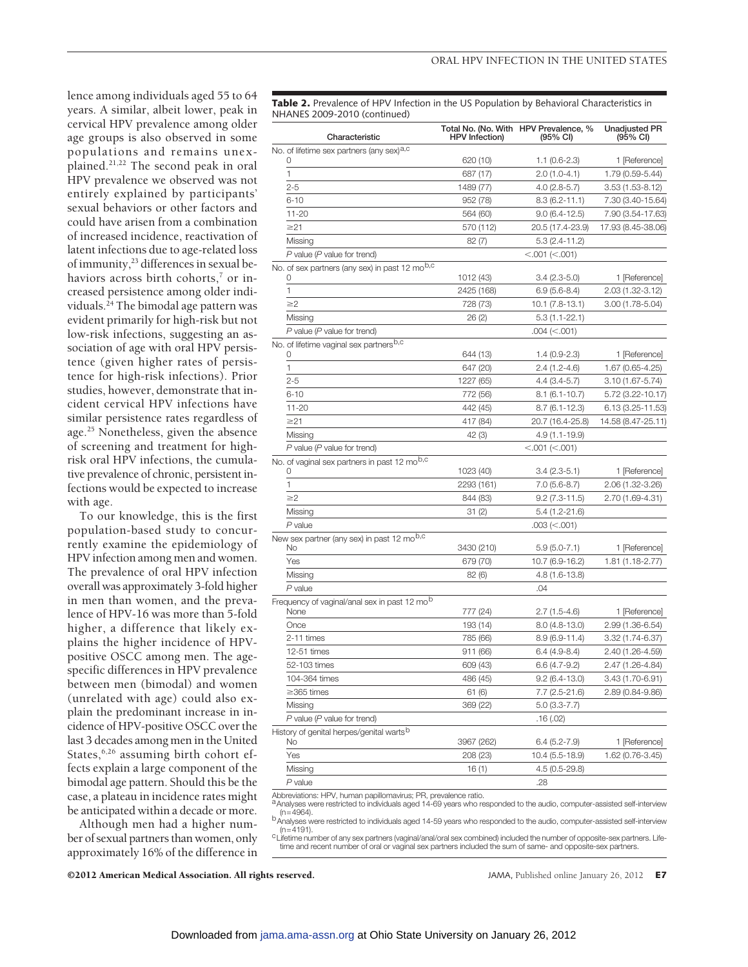lence among individuals aged 55 to 64 years. A similar, albeit lower, peak in cervical HPV prevalence among older age groups is also observed in some populations and remains unexplained.21,22 The second peak in oral HPV prevalence we observed was not entirely explained by participants' sexual behaviors or other factors and could have arisen from a combination of increased incidence, reactivation of latent infections due to age-related loss of immunity,<sup>23</sup> differences in sexual behaviors across birth cohorts,<sup>7</sup> or increased persistence among older individuals.24 The bimodal age pattern was evident primarily for high-risk but not low-risk infections, suggesting an association of age with oral HPV persistence (given higher rates of persistence for high-risk infections). Prior studies, however, demonstrate that incident cervical HPV infections have similar persistence rates regardless of age.25 Nonetheless, given the absence of screening and treatment for highrisk oral HPV infections, the cumulative prevalence of chronic, persistent infections would be expected to increase with age.

To our knowledge, this is the first population-based study to concurrently examine the epidemiology of HPV infection among men and women. The prevalence of oral HPV infection overall was approximately 3-fold higher in men than women, and the prevalence of HPV-16 was more than 5-fold higher, a difference that likely explains the higher incidence of HPVpositive OSCC among men. The agespecific differences in HPV prevalence between men (bimodal) and women (unrelated with age) could also explain the predominant increase in incidence of HPV-positive OSCC over the last 3 decades among men in the United States,<sup>6,26</sup> assuming birth cohort effects explain a large component of the bimodal age pattern. Should this be the case, a plateau in incidence rates might be anticipated within a decade or more.

Although men had a higher number of sexual partners than women, only approximately 16% of the difference in Table 2. Prevalence of HPV Infection in the US Population by Behavioral Characteristics in NHANES 2009-2010 (continued)

| Characteristic                                                | <b>HPV</b> Infection) | Total No. (No. With HPV Prevalence, %<br>(95% CI) | <b>Unadjusted PR</b><br>$(95% \text{ Cl})$ |
|---------------------------------------------------------------|-----------------------|---------------------------------------------------|--------------------------------------------|
| No. of lifetime sex partners (any sex) <sup>a,c</sup>         |                       |                                                   |                                            |
|                                                               | 620 (10)              | $1.1(0.6-2.3)$                                    | 1 [Reference]                              |
| 1                                                             | 687 (17)              | $2.0(1.0-4.1)$                                    | 1.79 (0.59-5.44)                           |
| $2 - 5$                                                       | 1489 (77)             | $4.0(2.8-5.7)$                                    | $3.53(1.53 - 8.12)$                        |
| $6 - 10$                                                      | 952 (78)              | $8.3(6.2 - 11.1)$                                 | 7.30 (3.40-15.64)                          |
| $11 - 20$                                                     | 564 (60)              | $9.0(6.4-12.5)$                                   | 7.90 (3.54-17.63)                          |
| $\geq$ 21                                                     | 570 (112)             | 20.5 (17.4-23.9)                                  | 17.93 (8.45-38.06)                         |
| Missing                                                       | 82(7)                 | $5.3(2.4-11.2)$                                   |                                            |
| $P$ value ( $P$ value for trend)                              |                       | < .001 (< .001)                                   |                                            |
| No. of sex partners (any sex) in past 12 mo <sup>b,c</sup>    |                       |                                                   |                                            |
|                                                               | 1012 (43)             | $3.4(2.3-5.0)$                                    | 1 [Reference]                              |
| 1                                                             | 2425 (168)            | 6.9 (5.6-8.4)                                     | 2.03 (1.32-3.12)                           |
| $\geq$ 2                                                      | 728 (73)              | 10.1 (7.8-13.1)                                   | 3.00 (1.78-5.04)                           |
| Missing                                                       | 26(2)                 | $5.3(1.1-22.1)$                                   |                                            |
| $P$ value ( $P$ value for trend)                              |                       | $.004 \approx .001$                               |                                            |
| No. of lifetime vaginal sex partners <sup>b,c</sup><br>O      | 644 (13)              | $1.4(0.9-2.3)$                                    | 1 [Reference]                              |
| 1                                                             |                       |                                                   | 1.67 (0.65-4.25)                           |
| $2 - 5$                                                       | 647 (20)              | 2.4 (1.2-4.6)                                     |                                            |
|                                                               | 1227 (65)             | 4.4 (3.4-5.7)                                     | 3.10 (1.67-5.74)                           |
| $6 - 10$                                                      | 772 (56)              | $8.1(6.1-10.7)$                                   | 5.72 (3.22-10.17)                          |
| $11 - 20$                                                     | 442 (45)              | 8.7 (6.1-12.3)                                    | 6.13 (3.25-11.53)                          |
| $\geq$ 21                                                     | 417 (84)              | 20.7 (16.4-25.8)                                  | 14.58 (8.47-25.11)                         |
| Missing                                                       | 42 (3)                | 4.9 (1.1-19.9)                                    |                                            |
| $P$ value ( $P$ value for trend)                              |                       | < 0.001 (< 0.001)                                 |                                            |
| No. of vaginal sex partners in past 12 mo <sup>b,c</sup><br>O | 1023 (40)             | $3.4(2.3-5.1)$                                    | 1 [Reference]                              |
| 1                                                             | 2293 (161)            | 7.0 (5.6-8.7)                                     | 2.06 (1.32-3.26)                           |
|                                                               |                       |                                                   |                                            |
| $\geq$ 2                                                      | 844 (83)              | $9.2(7.3-11.5)$                                   | 2.70 (1.69-4.31)                           |
| Missing                                                       | 31(2)                 | 5.4 (1.2-21.6)                                    |                                            |
| P value                                                       |                       | $.003 \approx 0.001$                              |                                            |
| New sex partner (any sex) in past 12 mo <sup>b,c</sup><br>No  | 3430 (210)            | $5.9(5.0-7.1)$                                    | 1 [Reference]                              |
| Yes                                                           | 679 (70)              | 10.7 (6.9-16.2)                                   | 1.81 (1.18-2.77)                           |
| Missing                                                       | 82(6)                 | 4.8 (1.6-13.8)                                    |                                            |
| P value                                                       |                       | .04                                               |                                            |
| Frequency of vaginal/anal sex in past 12 mo <sup>b</sup>      |                       |                                                   |                                            |
| None                                                          | 777 (24)              | 2.7 (1.5-4.6)                                     | 1 [Reference]                              |
| Once                                                          | 193 (14)              | $8.0(4.8-13.0)$                                   | 2.99 (1.36-6.54)                           |
| 2-11 times                                                    | 785 (66)              | $8.9(6.9-11.4)$                                   | 3.32 (1.74-6.37)                           |
| 12-51 times                                                   | 911 (66)              | $6.4(4.9-8.4)$                                    | 2.40 (1.26-4.59)                           |
| 52-103 times                                                  | 609 (43)              | 6.6 (4.7-9.2)                                     | 2.47 (1.26-4.84)                           |
| 104-364 times                                                 | 486 (45)              | $9.2(6.4-13.0)$                                   | 3.43 (1.70-6.91)                           |
| $\geq$ 365 times                                              | 61 (6)                | 7.7 (2.5-21.6)                                    | 2.89 (0.84-9.86)                           |
| Missing                                                       | 369 (22)              | 5.0 (3.3-7.7)                                     |                                            |
| $P$ value ( $P$ value for trend)                              |                       |                                                   |                                            |
| History of genital herpes/genital warts <sup>b</sup>          |                       | .16 (.02)                                         |                                            |
| No                                                            | 3967 (262)            | $6.4(5.2-7.9)$                                    | 1 [Reference]                              |
| Yes                                                           | 208 (23)              | 10.4 (5.5-18.9)                                   | 1.62 (0.76-3.45)                           |
| Missing                                                       | 16(1)                 | 4.5 (0.5-29.8)                                    |                                            |
| P value                                                       |                       | .28                                               |                                            |
|                                                               |                       |                                                   |                                            |

Abbreviations: HPV, human papillomavirus; PR, prevalence ratio.<br><sup>a</sup>Analyses were restricted to individuals aged 14-69 years who responded to the audio, computer-assisted self-interview (n=4964).<br>bAnalyses were restricted to individuals aged 14-59 years who responded to the audio, computer-assisted self-interview<br>(n=4191).

cuttime number of any sex partners (vaginal/anal/oral sex combined) included the number of opposite-sex partners. Life-

time and recent number of oral or vaginal sex partners included the sum of same- and opposite-sex partners.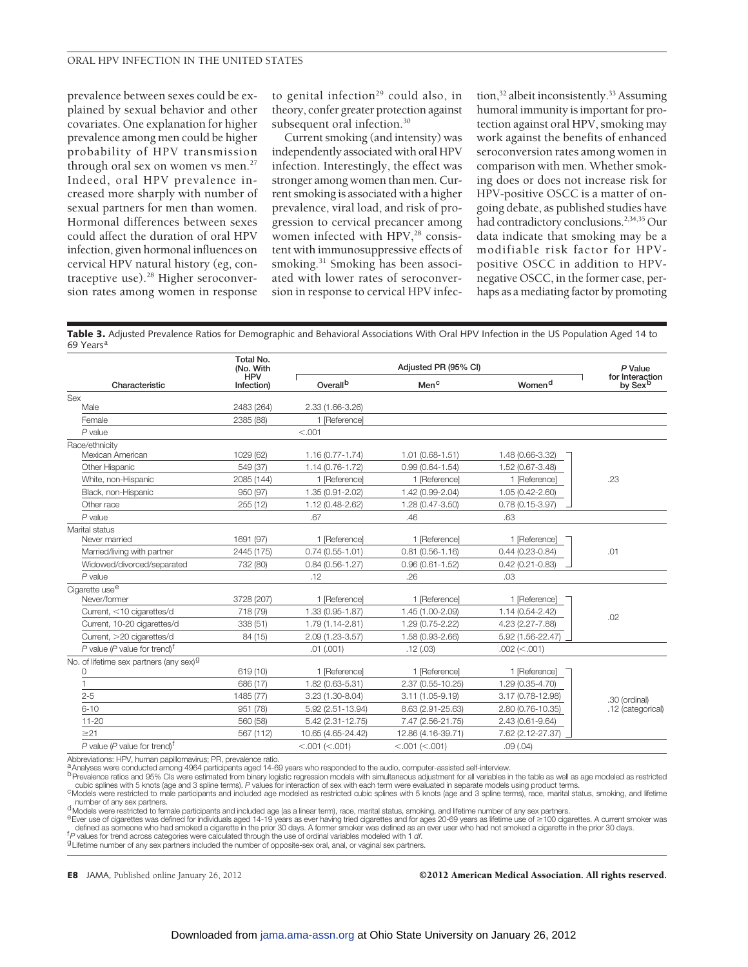prevalence between sexes could be explained by sexual behavior and other covariates. One explanation for higher prevalence among men could be higher probability of HPV transmission through oral sex on women vs men.<sup>27</sup> Indeed, oral HPV prevalence increased more sharply with number of sexual partners for men than women. Hormonal differences between sexes could affect the duration of oral HPV infection, given hormonal influences on cervical HPV natural history (eg, contraceptive use).<sup>28</sup> Higher seroconversion rates among women in response

to genital infection<sup>29</sup> could also, in theory, confer greater protection against subsequent oral infection.<sup>30</sup>

Current smoking (and intensity) was independently associated with oral HPV infection. Interestingly, the effect was stronger among women than men. Current smoking is associated with a higher prevalence, viral load, and risk of progression to cervical precancer among women infected with HPV,<sup>28</sup> consistent with immunosuppressive effects of smoking.<sup>31</sup> Smoking has been associated with lower rates of seroconversion in response to cervical HPV infec-

tion,<sup>32</sup> albeit inconsistently.<sup>33</sup> Assuming humoral immunity is important for protection against oral HPV, smoking may work against the benefits of enhanced seroconversion rates among women in comparison with men. Whether smoking does or does not increase risk for HPV-positive OSCC is a matter of ongoing debate, as published studies have had contradictory conclusions.<sup>2,34,35</sup> Our data indicate that smoking may be a modifiable risk factor for HPVpositive OSCC in addition to HPVnegative OSCC, in the former case, perhaps as a mediating factor by promoting

**Table 3.** Adjusted Prevalence Ratios for Demographic and Behavioral Associations With Oral HPV Infection in the US Population Aged 14 to 69 Years<sup>a</sup>

|                                                     | Total No.<br>(No. With   | Adjusted PR (95% CI) |                     |                     | P Value                                |
|-----------------------------------------------------|--------------------------|----------------------|---------------------|---------------------|----------------------------------------|
| Characteristic                                      | <b>HPV</b><br>Infection) | Overall <sup>b</sup> | Men <sup>c</sup>    | Women <sup>d</sup>  | for Interaction<br>by Sex <sup>b</sup> |
| Sex                                                 |                          |                      |                     |                     |                                        |
| Male                                                | 2483 (264)               | 2.33 (1.66-3.26)     |                     |                     |                                        |
| Female                                              | 2385 (88)                | 1 [Reference]        |                     |                     |                                        |
| $P$ value                                           |                          | < .001               |                     |                     |                                        |
| Race/ethnicity                                      |                          |                      |                     |                     |                                        |
| Mexican American                                    | 1029 (62)                | $1.16(0.77 - 1.74)$  | $1.01(0.68 - 1.51)$ | 1.48 (0.66-3.32)    |                                        |
| Other Hispanic                                      | 549 (37)                 | $1.14(0.76 - 1.72)$  | $0.99(0.64 - 1.54)$ | 1.52 (0.67-3.48)    |                                        |
| White, non-Hispanic                                 | 2085 (144)               | 1 [Reference]        | 1 [Reference]       | 1 [Reference]       | .23                                    |
| Black, non-Hispanic                                 | 950 (97)                 | 1.35 (0.91-2.02)     | 1.42 (0.99-2.04)    | 1.05 (0.42-2.60)    |                                        |
| Other race                                          | 255 (12)                 | 1.12 (0.48-2.62)     | 1.28 (0.47-3.50)    | $0.78(0.15-3.97)$   |                                        |
| $P$ value                                           |                          | .67                  | .46                 | .63                 |                                        |
| Marital status                                      |                          |                      |                     |                     |                                        |
| Never married                                       | 1691 (97)                | 1 [Reference]        | 1 [Reference]       | 1 [Reference]       |                                        |
| Married/living with partner                         | 2445 (175)               | $0.74(0.55 - 1.01)$  | $0.81(0.56 - 1.16)$ | $0.44(0.23 - 0.84)$ | .01                                    |
| Widowed/divorced/separated                          | 732 (80)                 | $0.84(0.56 - 1.27)$  | $0.96(0.61 - 1.52)$ | $0.42(0.21 - 0.83)$ |                                        |
| $P$ value                                           |                          | .12                  | .26                 | .03                 |                                        |
| Cigarette use <sup>e</sup>                          |                          |                      |                     |                     |                                        |
| Never/former                                        | 3728 (207)               | 1 [Reference]        | 1 [Reference]       | 1 [Reference]       |                                        |
| Current, <10 cigarettes/d                           | 718 (79)                 | 1.33 (0.95-1.87)     | 1.45 (1.00-2.09)    | 1.14 (0.54-2.42)    | .02                                    |
| Current, 10-20 cigarettes/d                         | 338 (51)                 | 1.79 (1.14-2.81)     | 1.29 (0.75-2.22)    | 4.23 (2.27-7.88)    |                                        |
| Current, >20 cigarettes/d                           | 84 (15)                  | 2.09 (1.23-3.57)     | 1.58 (0.93-2.66)    | 5.92 (1.56-22.47)   |                                        |
| P value (P value for trend) <sup>f</sup>            |                          | .01(.001)            | .12(.03)            | $.002$ (<.001)      |                                        |
| No. of lifetime sex partners (any sex) <sup>9</sup> |                          |                      |                     |                     |                                        |
| 0                                                   | 619 (10)                 | 1 [Reference]        | 1 [Reference]       | 1 [Reference]       | .30 (ordinal)<br>.12 (categorical)     |
|                                                     | 686 (17)                 | 1.82 (0.63-5.31)     | 2.37 (0.55-10.25)   | 1.29 (0.35-4.70)    |                                        |
| $2 - 5$                                             | 1485 (77)                | 3.23 (1.30-8.04)     | 3.11 (1.05-9.19)    | 3.17 (0.78-12.98)   |                                        |
| $6 - 10$                                            | 951 (78)                 | 5.92 (2.51-13.94)    | 8.63 (2.91-25.63)   | 2.80 (0.76-10.35)   |                                        |
| $11 - 20$                                           | 560 (58)                 | 5.42 (2.31-12.75)    | 7.47 (2.56-21.75)   | 2.43 (0.61-9.64)    |                                        |
| $\geq$ 21                                           | 567 (112)                | 10.65 (4.65-24.42)   | 12.86 (4.16-39.71)  | 7.62 (2.12-27.37)   |                                        |
| P value (P value for trend) <sup>t</sup>            |                          | < .001 (< .001)      | < .001 (< .001)     | .09(.04)            |                                        |

Abbreviations: HPV, human papillomavirus; PR, prevalence ratio.<br><sup>a</sup> Analyses were conducted among 4964 participants aged 14-69 years who responded to the audio, computer-assisted self-interview.<br><sup>b</sup> Prevalence ratios and 9

cubic splines with 5 knots (age and 3 spline terms). P values for interaction of sex with each term were evaluated in separate models using product terms.<br><sup>C</sup>Models were restricted to male participants and included age mod number of any sex partners.<br><sup>d</sup> Models were restricted to female participants and included age (as a linear term), race, marital status, smoking, and lifetime number of any sex partners.<br><sup>e</sup> Ever use of cigarettes was def

defined as someone who had smoked a cigarette in the prior 30 days. A former smoker was defined as an ever user who had not smoked a cigarette in the prior 30 days.<br><sup>1</sup>P values for trend across categories were calculated t

**E8** JAMA, Published online January 26, 2012 **COLOUS COLOUS COLOUS COLOUS COLOUS COLOUS COLOUS COLOUS COLOUS COLOUS COLOUS COLOUS COLOUS COLOUS COLOUS COLOUS COLOUS COLOUS COLOUS COLOU**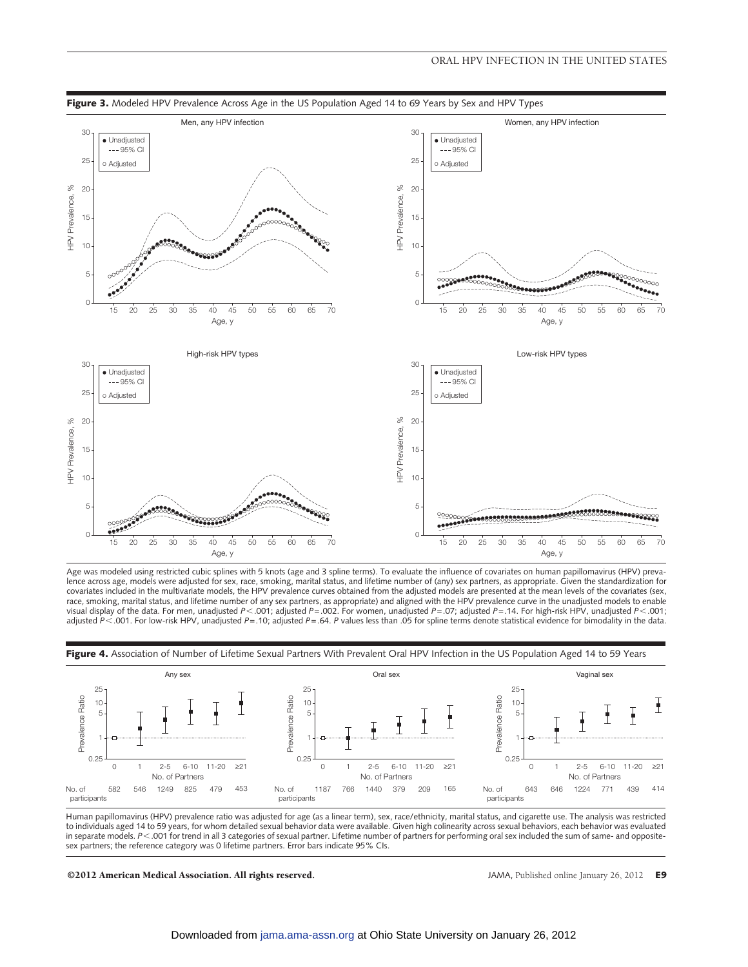







Human papillomavirus (HPV) prevalence ratio was adjusted for age (as a linear term), sex, race/ethnicity, marital status, and cigarette use. The analysis was restricted to individuals aged 14 to 59 years, for whom detailed sexual behavior data were available. Given high colinearity across sexual behaviors, each behavior was evaluated in separate models. *P*-.001 for trend in all 3 categories of sexual partner. Lifetime number of partners for performing oral sex included the sum of same- and oppositesex partners; the reference category was 0 lifetime partners. Error bars indicate 95% CIs.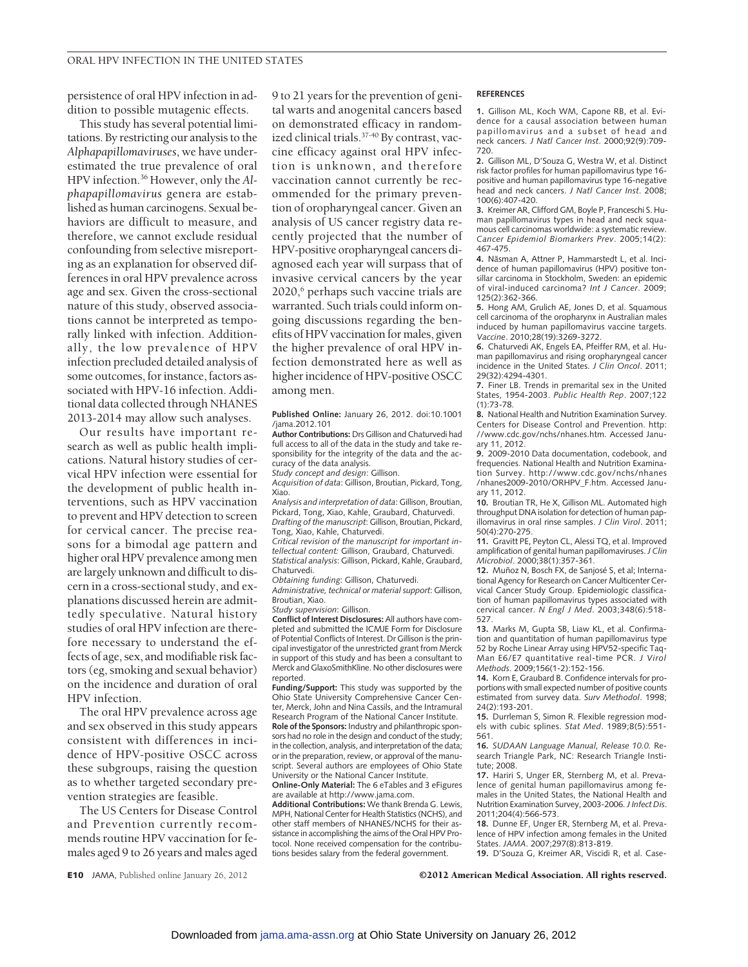persistence of oral HPV infection in addition to possible mutagenic effects.

This study has several potential limitations. By restricting our analysis to the *Alphapapillomaviruses*, we have underestimated the true prevalence of oral HPV infection.36 However, only the *Alphapapillomavirus* genera are established as human carcinogens. Sexual behaviors are difficult to measure, and therefore, we cannot exclude residual confounding from selective misreporting as an explanation for observed differences in oral HPV prevalence across age and sex. Given the cross-sectional nature of this study, observed associations cannot be interpreted as temporally linked with infection. Additionally, the low prevalence of HPV infection precluded detailed analysis of some outcomes, for instance, factors associated with HPV-16 infection. Additional data collected through NHANES 2013-2014 may allow such analyses.

Our results have important research as well as public health implications. Natural history studies of cervical HPV infection were essential for the development of public health interventions, such as HPV vaccination to prevent and HPV detection to screen for cervical cancer. The precise reasons for a bimodal age pattern and higher oral HPV prevalence among men are largely unknown and difficult to discern in a cross-sectional study, and explanations discussed herein are admittedly speculative. Natural history studies of oral HPV infection are therefore necessary to understand the effects of age, sex, and modifiable risk factors (eg, smoking and sexual behavior) on the incidence and duration of oral HPV infection.

The oral HPV prevalence across age and sex observed in this study appears consistent with differences in incidence of HPV-positive OSCC across these subgroups, raising the question as to whether targeted secondary prevention strategies are feasible.

The US Centers for Disease Control and Prevention currently recommends routine HPV vaccination for females aged 9 to 26 years and males aged

9 to 21 years for the prevention of genital warts and anogenital cancers based on demonstrated efficacy in randomized clinical trials.37-40 By contrast, vaccine efficacy against oral HPV infection is unknown, and therefore vaccination cannot currently be recommended for the primary prevention of oropharyngeal cancer. Given an analysis of US cancer registry data recently projected that the number of HPV-positive oropharyngeal cancers diagnosed each year will surpass that of invasive cervical cancers by the year 2020,<sup>6</sup> perhaps such vaccine trials are warranted. Such trials could inform ongoing discussions regarding the benefits of HPV vaccination for males, given the higher prevalence of oral HPV infection demonstrated here as well as higher incidence of HPV-positive OSCC among men.

#### **Published Online:** January 26, 2012. doi:10.1001 /jama.2012.101

**Author Contributions:** Drs Gillison and Chaturvedi had full access to all of the data in the study and take responsibility for the integrity of the data and the accuracy of the data analysis.

*Study concept and design*: Gillison.

*Acquisition of data*: Gillison, Broutian, Pickard, Tong, Xiao.

*Analysis and interpretation of data*: Gillison, Broutian, Pickard, Tong, Xiao, Kahle, Graubard, Chaturvedi. *Drafting of the manuscript*: Gillison, Broutian, Pickard, Tong, Xiao, Kahle, Chaturvedi.

*Critical revision of the manuscript for important intellectual content:* Gillison, Graubard, Chaturvedi. *Statistical analysis*: Gillison, Pickard, Kahle, Graubard, Chaturvedi.

*Obtaining funding*: Gillison, Chaturvedi.

*Administrative, technical or material support*: Gillison, Broutian, Xiao.

*Study supervision*: Gillison.

**Conflict of Interest Disclosures:** All authors have completed and submitted the ICMJE Form for Disclosure of Potential Conflicts of Interest. Dr Gillison is the principal investigator of the unrestricted grant from Merck in support of this study and has been a consultant to Merck and GlaxoSmithKline. No other disclosures were reported.

**Funding/Support:** This study was supported by the Ohio State University Comprehensive Cancer Cen-ter, Merck, John and Nina Cassils, and the Intramural Research Program of the National Cancer Institute.

**Role of the Sponsors:** Industry and philanthropic sponsors had no role in the design and conduct of the study; in the collection, analysis, and interpretation of the data; or in the preparation, review, or approval of the manuscript. Several authors are employees of Ohio State University or the National Cancer Institute.

**Online-Only Material:** The 6 eTables and 3 eFigures are available at http://www.jama.com.

**Additional Contributions:** We thank Brenda G. Lewis, MPH, National Center for Health Statistics (NCHS), and other staff members of NHANES/NCHS for their assistance in accomplishing the aims of the Oral HPV Protocol. None received compensation for the contributions besides salary from the federal government.

#### **REFERENCES**

**1.** Gillison ML, Koch WM, Capone RB, et al. Evidence for a causal association between human papillomavirus and a subset of head and neck cancers. *J Natl Cancer Inst*. 2000;92(9):709- 720.

**2.** Gillison ML, D'Souza G, Westra W, et al. Distinct risk factor profiles for human papillomavirus type 16 positive and human papillomavirus type 16-negative head and neck cancers. *J Natl Cancer Inst*. 2008; 100(6):407-420.

**3.** Kreimer AR, Clifford GM, Boyle P, Franceschi S. Human papillomavirus types in head and neck squamous cell carcinomas worldwide: a systematic review. *Cancer Epidemiol Biomarkers Prev*. 2005;14(2): 467-475.

4. Näsman A, Attner P, Hammarstedt L, et al. Incidence of human papillomavirus (HPV) positive tonsillar carcinoma in Stockholm, Sweden: an epidemic of viral-induced carcinoma? *Int J Cancer*. 2009; 125(2):362-366.

**5.** Hong AM, Grulich AE, Jones D, et al. Squamous cell carcinoma of the oropharynx in Australian males induced by human papillomavirus vaccine targets. *Vaccine*. 2010;28(19):3269-3272.

**6.** Chaturvedi AK, Engels EA, Pfeiffer RM, et al. Human papillomavirus and rising oropharyngeal cancer incidence in the United States. *J Clin Oncol*. 2011; 29(32):4294-4301.

**7.** Finer LB. Trends in premarital sex in the United States, 1954-2003. *Public Health Rep*. 2007;122 (1):73-78.

**8.** National Health and Nutrition Examination Survey. Centers for Disease Control and Prevention. http: //www.cdc.gov/nchs/nhanes.htm. Accessed January 11, 2012.

**9.** 2009-2010 Data documentation, codebook, and frequencies. National Health and Nutrition Examination Survey. http://www.cdc.gov/nchs/nhanes /nhanes2009-2010/ORHPV\_F.htm. Accessed January 11, 2012.

**10.** Broutian TR, He X, Gillison ML. Automated high throughput DNA isolation for detection of human papillomavirus in oral rinse samples. *J Clin Virol*. 2011; 50(4):270-275.

**11.** Gravitt PE, Peyton CL, Alessi TQ, et al. Improved amplification of genital human papillomaviruses.*J Clin Microbiol*. 2000;38(1):357-361.

12. Muñoz N, Bosch FX, de Sanjosé S, et al; International Agency for Research on Cancer Multicenter Cervical Cancer Study Group. Epidemiologic classification of human papillomavirus types associated with cervical cancer. *N Engl J Med*. 2003;348(6):518- 527.

**13.** Marks M, Gupta SB, Liaw KL, et al. Confirmation and quantitation of human papillomavirus type 52 by Roche Linear Array using HPV52-specific Taq-Man E6/E7 quantitative real-time PCR. *J Virol Methods*. 2009;156(1-2):152-156.

**14.** Korn E, Graubard B. Confidence intervals for proportions with small expected number of positive counts estimated from survey data. *Surv Methodol*. 1998; 24(2):193-201.

**15.** Durrleman S, Simon R. Flexible regression models with cubic splines. *Stat Med*. 1989;8(5):551- 561.

**16.** *SUDAAN Language Manual, Release 10.0.* Research Triangle Park, NC: Research Triangle Institute; 2008.

**17.** Hariri S, Unger ER, Sternberg M, et al. Prevalence of genital human papillomavirus among females in the United States, the National Health and Nutrition Examination Survey, 2003-2006.*J Infect Dis*. 2011;204(4):566-573.

**18.** Dunne EF, Unger ER, Sternberg M, et al. Prevalence of HPV infection among females in the United States. *JAMA*. 2007;297(8):813-819.

**19.** D'Souza G, Kreimer AR, Viscidi R, et al. Case-

#### **E10** JAMA, Published online January 26, 2012 ©2012 American Medical Association. All rights reserved.